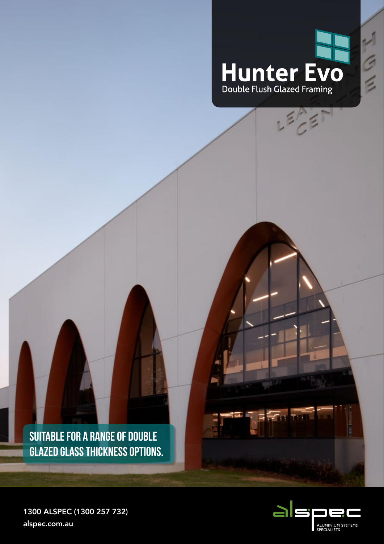

 $L^{\frac{2}{3}}$ 

 $\frac{1}{2}$ 

**SUITABLE FOR A RANGE OF DOUBLE GLAZED GLASS THICKNESS OPTIONS.**



 $F$  of  $F$ 

1300 ALSPEC (1300 257 732) alspec.com.au